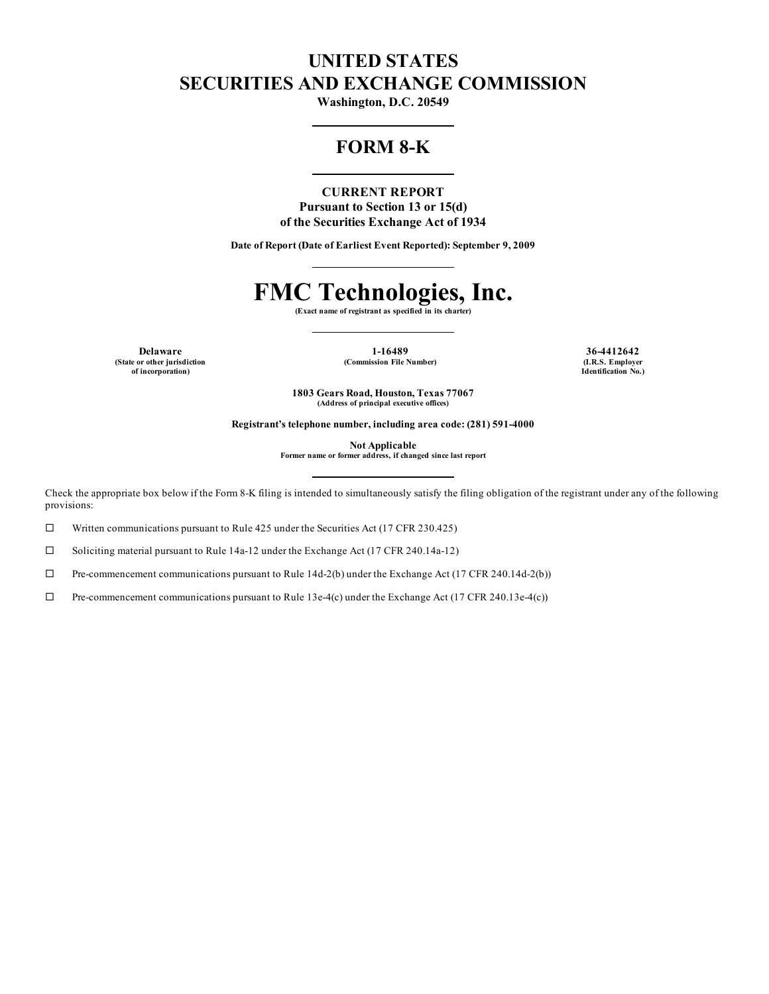## **UNITED STATES SECURITIES AND EXCHANGE COMMISSION**

**Washington, D.C. 20549**

## **FORM 8-K**

**CURRENT REPORT Pursuant to Section 13 or 15(d) of the Securities Exchange Act of 1934**

**Date of Report (Date of Earliest Event Reported): September 9, 2009**

# **FMC Technologies, Inc.**

**(Exact name of registrant as specified in its charter)**

**(State or other jurisdiction of incorporation)**

**Delaware 1-16489 36-4412642 (Commission File Number) (I.R.S. Employer**

**Identification No.)**

**1803 Gears Road, Houston, Texas 77067 (Address of principal executive offices)**

**Registrant's telephone number, including area code: (281) 591-4000**

**Not Applicable**

**Former name or former address, if changed since last report**

Check the appropriate box below if the Form 8-K filing is intended to simultaneously satisfy the filing obligation of the registrant under any of the following provisions:

 $\square$  Written communications pursuant to Rule 425 under the Securities Act (17 CFR 230.425)

 $\square$  Soliciting material pursuant to Rule 14a-12 under the Exchange Act (17 CFR 240.14a-12)

 $\Box$  Pre-commencement communications pursuant to Rule 14d-2(b) under the Exchange Act (17 CFR 240.14d-2(b))

 $\Box$  Pre-commencement communications pursuant to Rule 13e-4(c) under the Exchange Act (17 CFR 240.13e-4(c))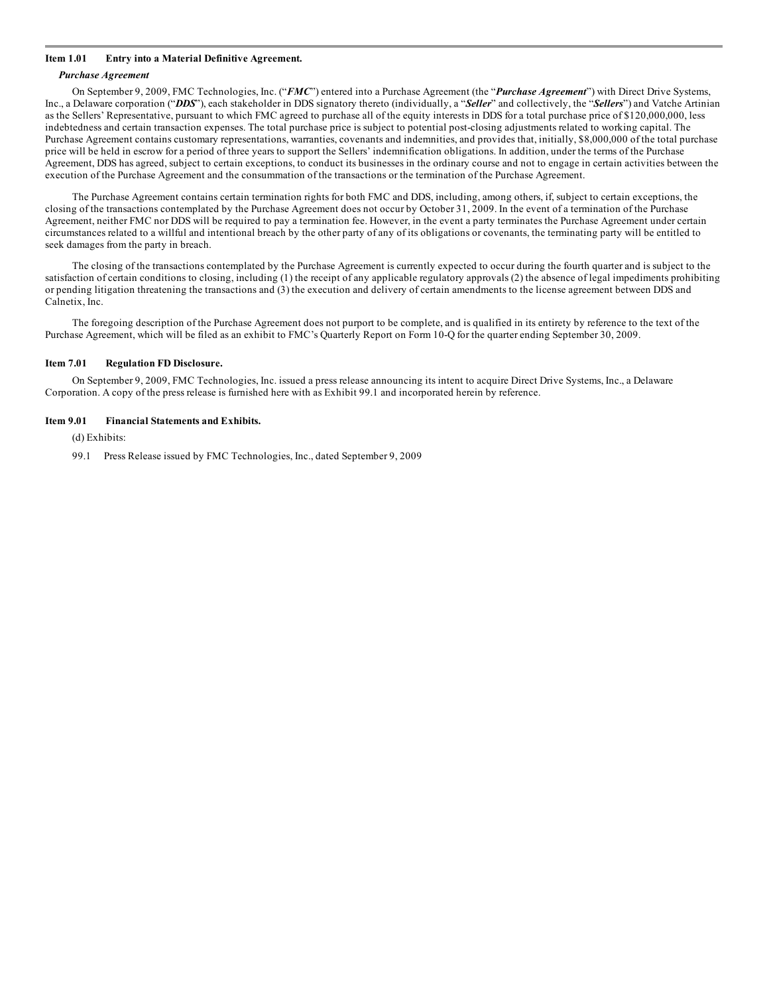#### **Item 1.01 Entry into a Material Definitive Agreement.**

#### *Purchase Agreement*

On September 9, 2009, FMC Technologies, Inc. ("*FMC*") entered into a Purchase Agreement (the "*Purchase Agreement*") with Direct Drive Systems, Inc., a Delaware corporation ("*DDS*"), each stakeholder in DDS signatory thereto (individually, a "*Seller*" and collectively, the "*Sellers*") and Vatche Artinian as the Sellers' Representative, pursuant to which FMC agreed to purchase all of the equity interests in DDS for a total purchase price of \$120,000,000, less indebtedness and certain transaction expenses. The total purchase price is subject to potential post-closing adjustments related to working capital. The Purchase Agreement contains customary representations, warranties, covenants and indemnities, and provides that, initially, \$8,000,000 of the total purchase price will be held in escrow for a period of three years to support the Sellers' indemnification obligations. In addition, under the terms of the Purchase Agreement, DDS has agreed, subject to certain exceptions, to conduct its businesses in the ordinary course and not to engage in certain activities between the execution of the Purchase Agreement and the consummation of the transactions or the termination of the Purchase Agreement.

The Purchase Agreement contains certain termination rights for both FMC and DDS, including, among others, if, subject to certain exceptions, the closing of the transactions contemplated by the Purchase Agreement does not occur by October 31, 2009. In the event of a termination of the Purchase Agreement, neither FMC nor DDS will be required to pay a termination fee. However, in the event a party terminates the Purchase Agreement under certain circumstances related to a willful and intentional breach by the other party of any of its obligations or covenants, the terminating party will be entitled to seek damages from the party in breach.

The closing of the transactions contemplated by the Purchase Agreement is currently expected to occur during the fourth quarter and is subject to the satisfaction of certain conditions to closing, including (1) the receipt of any applicable regulatory approvals (2) the absence of legal impediments prohibiting or pending litigation threatening the transactions and (3) the execution and delivery of certain amendments to the license agreement between DDS and Calnetix, Inc.

The foregoing description of the Purchase Agreement does not purport to be complete, and is qualified in its entirety by reference to the text of the Purchase Agreement, which will be filed as an exhibit to FMC's Quarterly Report on Form 10-Q for the quarter ending September 30, 2009.

#### **Item 7.01 Regulation FD Disclosure.**

On September 9, 2009, FMC Technologies, Inc. issued a press release announcing its intent to acquire Direct Drive Systems, Inc., a Delaware Corporation. A copy of the press release is furnished here with as Exhibit 99.1 and incorporated herein by reference.

#### **Item 9.01 Financial Statements and Exhibits.**

(d) Exhibits:

99.1 Press Release issued by FMC Technologies, Inc., dated September 9, 2009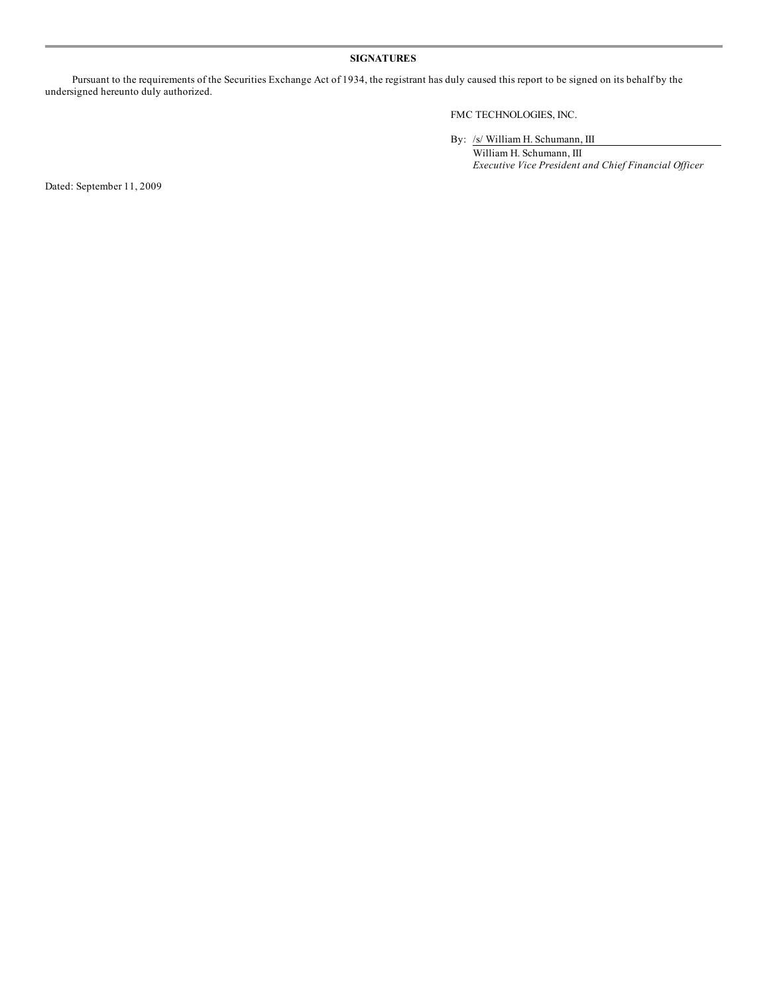### **SIGNATURES**

Pursuant to the requirements of the Securities Exchange Act of 1934, the registrant has duly caused this report to be signed on its behalf by the undersigned hereunto duly authorized.

FMC TECHNOLOGIES, INC.

By: /s/ William H. Schumann, III

William H. Schumann, III *Executive Vice President and Chief Financial Of icer*

Dated: September 11, 2009